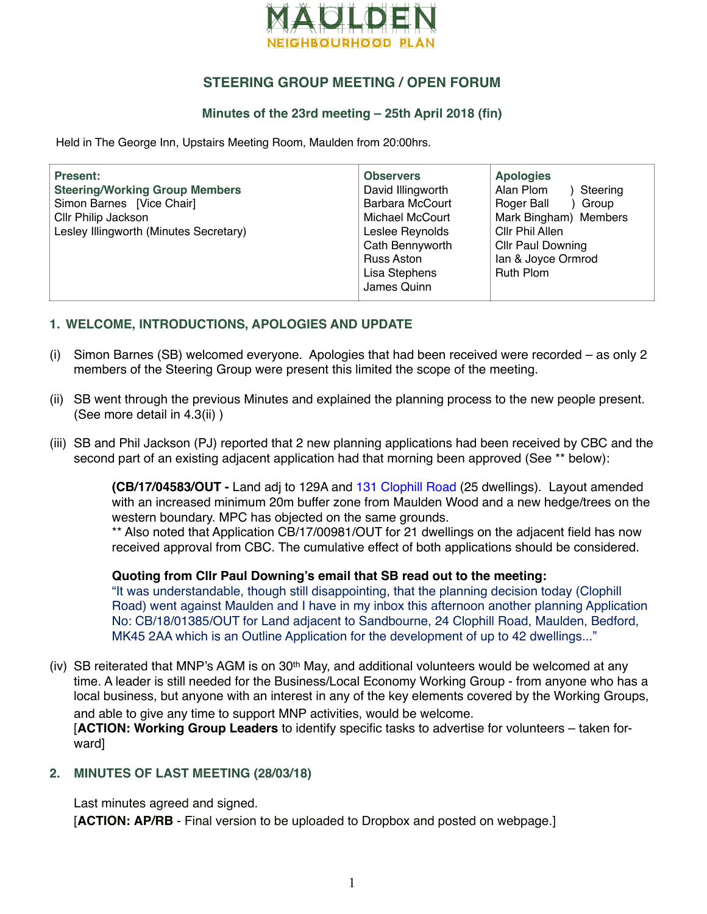

# **STEERING GROUP MEETING / OPEN FORUM**

### **Minutes of the 23rd meeting – 25th April 2018 (fin)**

Held in The George Inn, Upstairs Meeting Room, Maulden from 20:00hrs.

| <b>Present:</b><br><b>Steering/Working Group Members</b><br>Simon Barnes [Vice Chair]<br>Cllr Philip Jackson<br>Lesley Illingworth (Minutes Secretary) | <b>Observers</b><br>David Illingworth<br>Barbara McCourt<br>Michael McCourt<br>Leslee Reynolds<br>Cath Bennyworth<br>Russ Aston<br>Lisa Stephens | <b>Apologies</b><br>Alan Plom<br>Steering<br>Roger Ball<br>Group (<br>Mark Bingham) Members<br>Cllr Phil Allen<br><b>Cllr Paul Downing</b><br>lan & Joyce Ormrod<br><b>Ruth Plom</b> |
|--------------------------------------------------------------------------------------------------------------------------------------------------------|--------------------------------------------------------------------------------------------------------------------------------------------------|--------------------------------------------------------------------------------------------------------------------------------------------------------------------------------------|
|                                                                                                                                                        | James Quinn                                                                                                                                      |                                                                                                                                                                                      |

#### **1. WELCOME, INTRODUCTIONS, APOLOGIES AND UPDATE**

- (i) Simon Barnes (SB) welcomed everyone. Apologies that had been received were recorded as only 2 members of the Steering Group were present this limited the scope of the meeting.
- (ii) SB went through the previous Minutes and explained the planning process to the new people present. (See more detail in 4.3(ii) )
- (iii) SB and Phil Jackson (PJ) reported that 2 new planning applications had been received by CBC and the second part of an existing adjacent application had that morning been approved (See \*\* below):

**(CB/17/04583/OUT -** Land adj to 129A and [131 Clophill Road](https://maps.google.com/?q=131+Clophill+Road+,%250D%250AMaulden,++Bedford+.%250D%250AMK45+2AE&entry=gmail&source=g) (25 dwellings). Layout amended with an increased minimum 20m buffer zone from Maulden Wood and a new hedge/trees on the western boundary. MPC has objected on the same grounds.

\*\* Also noted that Application CB/17/00981/OUT for 21 dwellings on the adjacent field has now received approval from CBC. The cumulative effect of both applications should be considered.

#### **Quoting from Cllr Paul Downing's email that SB read out to the meeting:**

"It was understandable, though still disappointing, that the planning decision today (Clophill Road) went against Maulden and I have in my inbox this afternoon another planning Application No: CB/18/01385/OUT for Land adjacent to Sandbourne, 24 Clophill Road, Maulden, Bedford, MK45 2AA which is an Outline Application for the development of up to 42 dwellings..."

(iv) SB reiterated that MNP's AGM is on 30th May, and additional volunteers would be welcomed at any time. A leader is still needed for the Business/Local Economy Working Group - from anyone who has a local business, but anyone with an interest in any of the key elements covered by the Working Groups, and able to give any time to support MNP activities, would be welcome.

[**ACTION: Working Group Leaders** to identify specific tasks to advertise for volunteers – taken forward]

### **2. MINUTES OF LAST MEETING (28/03/18)**

Last minutes agreed and signed.

[**ACTION: AP/RB** - Final version to be uploaded to Dropbox and posted on webpage.]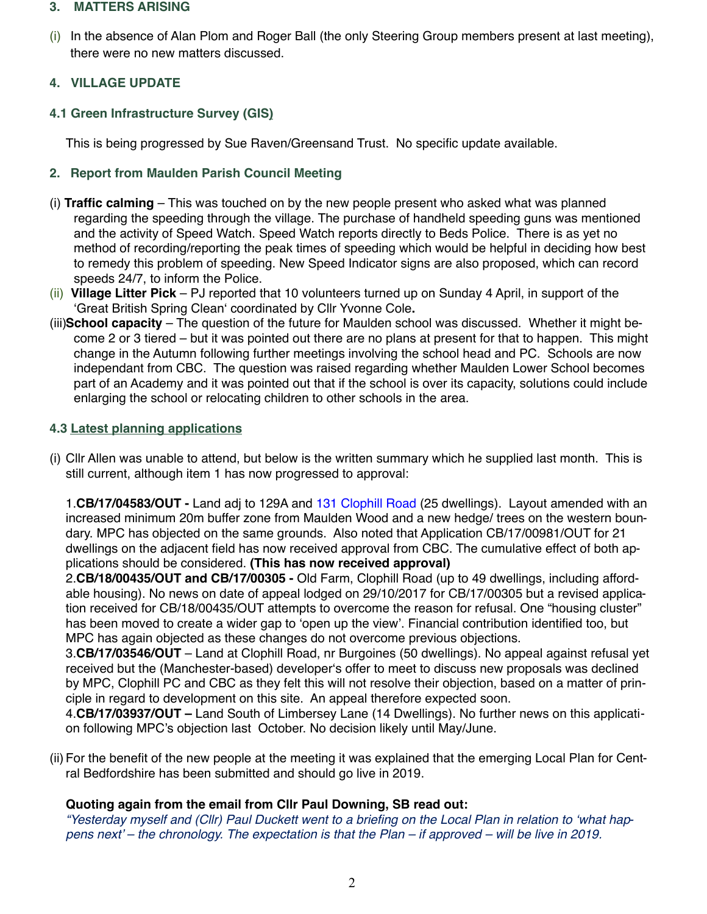#### **3. MATTERS ARISING**

(i) In the absence of Alan Plom and Roger Ball (the only Steering Group members present at last meeting), there were no new matters discussed.

## **4. VILLAGE UPDATE**

## **4.1 Green Infrastructure Survey (GIS)**

This is being progressed by Sue Raven/Greensand Trust. No specific update available.

### **2. Report from Maulden Parish Council Meeting**

- (i) **Traffic calming** This was touched on by the new people present who asked what was planned regarding the speeding through the village. The purchase of handheld speeding guns was mentioned and the activity of Speed Watch. Speed Watch reports directly to Beds Police. There is as yet no method of recording/reporting the peak times of speeding which would be helpful in deciding how best to remedy this problem of speeding. New Speed Indicator signs are also proposed, which can record speeds 24/7, to inform the Police.
- (ii) **Village Litter Pick**  PJ reported that 10 volunteers turned up on Sunday 4 April, in support of the 'Great British Spring Clean' coordinated by Cllr Yvonne Cole**.**
- (iii)**School capacity**  The question of the future for Maulden school was discussed. Whether it might become 2 or 3 tiered – but it was pointed out there are no plans at present for that to happen. This might change in the Autumn following further meetings involving the school head and PC. Schools are now independant from CBC. The question was raised regarding whether Maulden Lower School becomes part of an Academy and it was pointed out that if the school is over its capacity, solutions could include enlarging the school or relocating children to other schools in the area.

### **4.3 Latest planning applications**

(i) Cllr Allen was unable to attend, but below is the written summary which he supplied last month. This is still current, although item 1 has now progressed to approval:

1.**CB/17/04583/OUT -** Land adj to 129A and [131 Clophill Road](https://maps.google.com/?q=131+Clophill+Road+,%250D%250AMaulden,++Bedford+.%250D%250AMK45+2AE&entry=gmail&source=g) (25 dwellings). Layout amended with an increased minimum 20m buffer zone from Maulden Wood and a new hedge/ trees on the western boundary. MPC has objected on the same grounds. Also noted that Application CB/17/00981/OUT for 21 dwellings on the adjacent field has now received approval from CBC. The cumulative effect of both applications should be considered. **(This has now received approval)**

2.**CB/18/00435/OUT and CB/17/00305 -** Old Farm, Clophill Road (up to 49 dwellings, including affordable housing). No news on date of appeal lodged on 29/10/2017 for CB/17/00305 but a revised application received for CB/18/00435/OUT attempts to overcome the reason for refusal. One "housing cluster" has been moved to create a wider gap to 'open up the view'. Financial contribution identified too, but MPC has again objected as these changes do not overcome previous objections.

3.**CB/17/03546/OUT** – Land at Clophill Road, nr Burgoines (50 dwellings). No appeal against refusal yet received but the (Manchester-based) developer's offer to meet to discuss new proposals was declined by MPC, Clophill PC and CBC as they felt this will not resolve their objection, based on a matter of principle in regard to development on this site. An appeal therefore expected soon.

4.**CB/17/03937/OUT –** Land South of Limbersey Lane (14 Dwellings). No further news on this application following MPC's objection last October. No decision likely until May/June.

(ii) For the benefit of the new people at the meeting it was explained that the emerging Local Plan for Central Bedfordshire has been submitted and should go live in 2019.

### **Quoting again from the email from Cllr Paul Downing, SB read out:**

*"Yesterday myself and (Cllr) Paul Duckett went to a briefing on the Local Plan in relation to 'what happens next' – the chronology. The expectation is that the Plan – if approved – will be live in 2019.*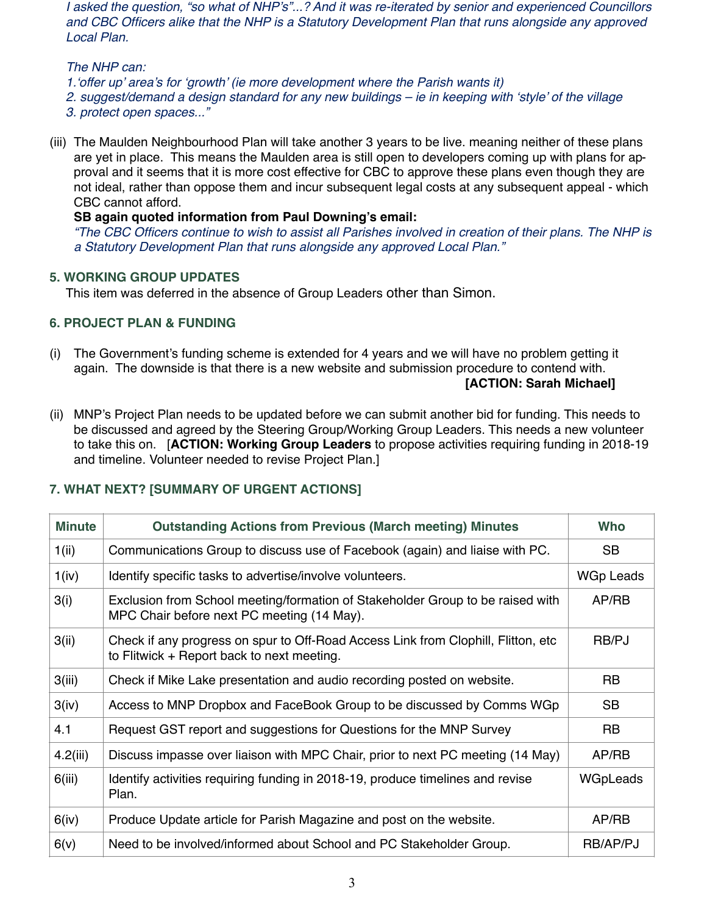*I asked the question, "so what of NHP's"...? And it was re-iterated by senior and experienced Councillors and CBC Officers alike that the NHP is a Statutory Development Plan that runs alongside any approved Local Plan.*

#### *The NHP can:*

*1.'offer up' area's for 'growth' (ie more development where the Parish wants it)*

*2. suggest/demand a design standard for any new buildings – ie in keeping with 'style' of the village*

- *3. protect open spaces..."*
- (iii) The Maulden Neighbourhood Plan will take another 3 years to be live. meaning neither of these plans are yet in place. This means the Maulden area is still open to developers coming up with plans for approval and it seems that it is more cost effective for CBC to approve these plans even though they are not ideal, rather than oppose them and incur subsequent legal costs at any subsequent appeal - which CBC cannot afford.

### **SB again quoted information from Paul Downing's email:**

*"The CBC Officers continue to wish to assist all Parishes involved in creation of their plans. The NHP is a Statutory Development Plan that runs alongside any approved Local Plan."*

## **5. WORKING GROUP UPDATES**

This item was deferred in the absence of Group Leaders other than Simon.

## **6. PROJECT PLAN & FUNDING**

- (i) The Government's funding scheme is extended for 4 years and we will have no problem getting it again. The downside is that there is a new website and submission procedure to contend with. **[ACTION: Sarah Michael]**
- (ii) MNP's Project Plan needs to be updated before we can submit another bid for funding. This needs to be discussed and agreed by the Steering Group/Working Group Leaders. This needs a new volunteer to take this on. [**ACTION: Working Group Leaders** to propose activities requiring funding in 2018-19 and timeline. Volunteer needed to revise Project Plan.]

| <b>Minute</b> | <b>Outstanding Actions from Previous (March meeting) Minutes</b>                                                                 |           |
|---------------|----------------------------------------------------------------------------------------------------------------------------------|-----------|
| 1(i)          | Communications Group to discuss use of Facebook (again) and liaise with PC.                                                      | <b>SB</b> |
| 1(iv)         | Identify specific tasks to advertise/involve volunteers.                                                                         | WGp Leads |
| 3(i)          | Exclusion from School meeting/formation of Stakeholder Group to be raised with<br>MPC Chair before next PC meeting (14 May).     | AP/RB     |
| 3(ii)         | Check if any progress on spur to Off-Road Access Link from Clophill, Flitton, etc.<br>to Flitwick + Report back to next meeting. | RB/PJ     |
| 3(iii)        | Check if Mike Lake presentation and audio recording posted on website.                                                           | <b>RB</b> |
| 3(iv)         | Access to MNP Dropbox and FaceBook Group to be discussed by Comms WGp                                                            | <b>SB</b> |
| 4.1           | Request GST report and suggestions for Questions for the MNP Survey                                                              | <b>RB</b> |
| 4.2(iii)      | Discuss impasse over liaison with MPC Chair, prior to next PC meeting (14 May)                                                   | AP/RB     |
| 6(iii)        | Identify activities requiring funding in 2018-19, produce timelines and revise<br>Plan.                                          | WGpLeads  |
| 6(iv)         | Produce Update article for Parish Magazine and post on the website.                                                              | AP/RB     |
| 6(v)          | Need to be involved/informed about School and PC Stakeholder Group.                                                              | RB/AP/PJ  |

### **7. WHAT NEXT? [SUMMARY OF URGENT ACTIONS]**